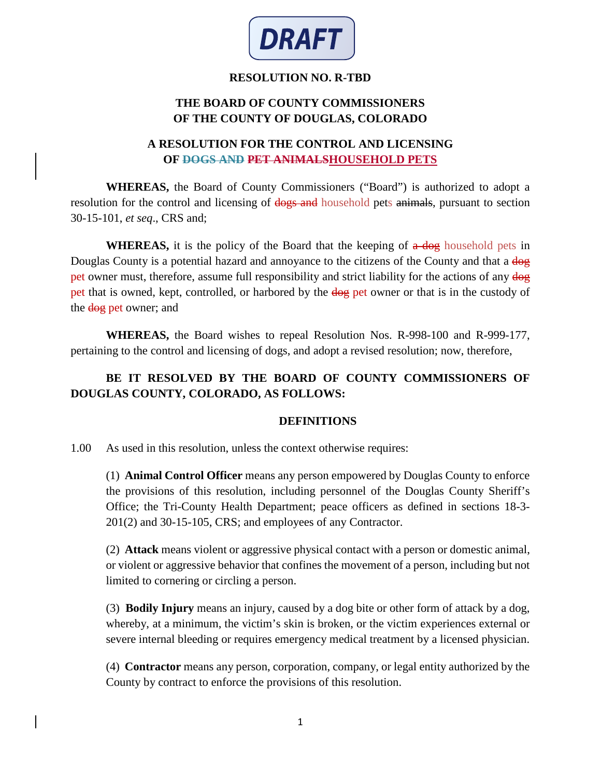

### **RESOLUTION NO. R-TBD**

# **THE BOARD OF COUNTY COMMISSIONERS OF THE COUNTY OF DOUGLAS, COLORADO**

### **A RESOLUTION FOR THE CONTROL AND LICENSING OF DOGS AND PET ANIMALSHOUSEHOLD PETS**

**WHEREAS,** the Board of County Commissioners ("Board") is authorized to adopt a resolution for the control and licensing of dogs and household pets animals, pursuant to section 30-15-101, *et seq*., CRS and;

**WHEREAS,** it is the policy of the Board that the keeping of  $\alpha$  dog household pets in Douglas County is a potential hazard and annoyance to the citizens of the County and that a  $\frac{d}{d\theta}$ pet owner must, therefore, assume full responsibility and strict liability for the actions of any  $\frac{d}{d\theta}$ pet that is owned, kept, controlled, or harbored by the dog pet owner or that is in the custody of the dog pet owner; and

**WHEREAS,** the Board wishes to repeal Resolution Nos. R-998-100 and R-999-177, pertaining to the control and licensing of dogs, and adopt a revised resolution; now, therefore,

# **BE IT RESOLVED BY THE BOARD OF COUNTY COMMISSIONERS OF DOUGLAS COUNTY, COLORADO, AS FOLLOWS:**

### **DEFINITIONS**

1.00 As used in this resolution, unless the context otherwise requires:

(1) **Animal Control Officer** means any person empowered by Douglas County to enforce the provisions of this resolution, including personnel of the Douglas County Sheriff's Office; the Tri-County Health Department; peace officers as defined in sections 18-3- 201(2) and 30-15-105, CRS; and employees of any Contractor.

(2) **Attack** means violent or aggressive physical contact with a person or domestic animal, or violent or aggressive behavior that confines the movement of a person, including but not limited to cornering or circling a person.

(3) **Bodily Injury** means an injury, caused by a dog bite or other form of attack by a dog, whereby, at a minimum, the victim's skin is broken, or the victim experiences external or severe internal bleeding or requires emergency medical treatment by a licensed physician.

(4) **Contractor** means any person, corporation, company, or legal entity authorized by the County by contract to enforce the provisions of this resolution.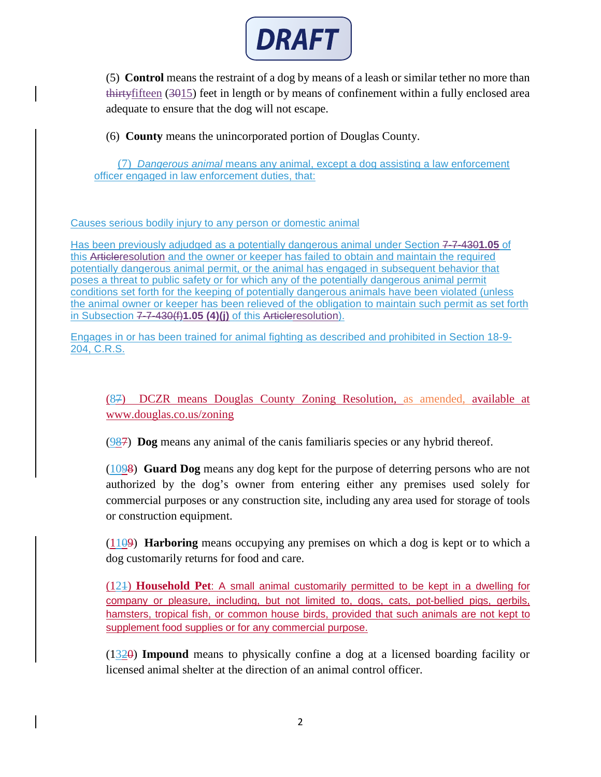

(5) **Control** means the restraint of a dog by means of a leash or similar tether no more than thirtyfifteen (3015) feet in length or by means of confinement within a fully enclosed area adequate to ensure that the dog will not escape.

(6) **County** means the unincorporated portion of Douglas County.

(7) *Dangerous animal* means any animal, except a dog assisting a law enforcement officer engaged in law enforcement duties, that:

#### Causes serious bodily injury to any person or domestic animal

Has been previously adjudged as a potentially dangerous animal under [Section 7-7-430](https://library.municode.com/co/centennial/codes/municipal_code?nodeId=CEMUCO_CH7HESAAN_ART7ANCO_DIV4ANCOVI_S7-7-430PODAAN)**1.05** of this Articleresolution and the owner or keeper has failed to obtain and maintain the required potentially dangerous animal permit, or the animal has engaged in subsequent behavior that poses a threat to public safety or for which any of the potentially dangerous animal permit conditions set forth for the keeping of potentially dangerous animals have been violated (unless the animal owner or keeper has been relieved of the obligation to maintain such permit as set forth in Subsection 7-7-430(f)**1.05 (4)(j)** of this Articleresolution).

Engages in or has been trained for animal fighting as described and prohibited in Section 18-9- 204, C.R.S.

(87) DCZR means Douglas County Zoning Resolution, as amended, available at www.douglas.co.us/zoning

(987) **Dog** means any animal of the canis familiaris species or any hybrid thereof.

(1098) **Guard Dog** means any dog kept for the purpose of deterring persons who are not authorized by the dog's owner from entering either any premises used solely for commercial purposes or any construction site, including any area used for storage of tools or construction equipment.

(1109) **Harboring** means occupying any premises on which a dog is kept or to which a dog customarily returns for food and care.

(121) **Household Pet**: A small animal customarily permitted to be kept in a dwelling for company or pleasure, including, but not limited to, dogs, cats, pot-bellied pigs, gerbils, hamsters, tropical fish, or common house birds, provided that such animals are not kept to supplement food supplies or for any commercial purpose.

(1320) **Impound** means to physically confine a dog at a licensed boarding facility or licensed animal shelter at the direction of an animal control officer.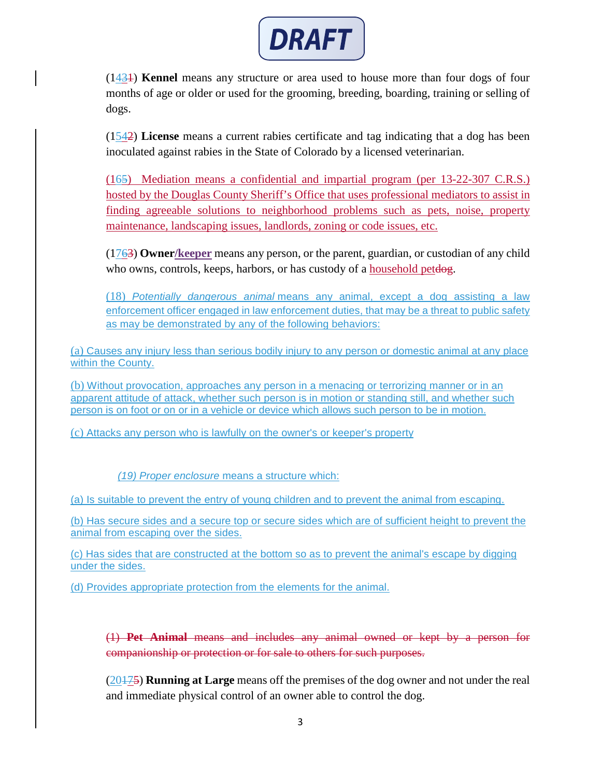

(1431) **Kennel** means any structure or area used to house more than four dogs of four months of age or older or used for the grooming, breeding, boarding, training or selling of dogs.

(1542) **License** means a current rabies certificate and tag indicating that a dog has been inoculated against rabies in the State of Colorado by a licensed veterinarian.

(165) Mediation means a confidential and impartial program (per 13-22-307 C.R.S.) hosted by the Douglas County Sheriff's Office that uses professional mediators to assist in finding agreeable solutions to neighborhood problems such as pets, noise, property maintenance, landscaping issues, landlords, zoning or code issues, etc.

(1763) **Owner/keeper** means any person, or the parent, guardian, or custodian of any child who owns, controls, keeps, harbors, or has custody of a household petdog.

(18) *Potentially dangerous animal* means any animal, except a dog assisting a law enforcement officer engaged in law enforcement duties, that may be a threat to public safety as may be demonstrated by any of the following behaviors:

(a) Causes any injury less than serious bodily injury to any person or domestic animal at any place within the County.

(b) Without provocation, approaches any person in a menacing or terrorizing manner or in an apparent attitude of attack, whether such person is in motion or standing still, and whether such person is on foot or on or in a vehicle or device which allows such person to be in motion.

(c) Attacks any person who is lawfully on the owner's or keeper's property

*(19) Proper enclosure* means a structure which:

(a) Is suitable to prevent the entry of young children and to prevent the animal from escaping.

(b) Has secure sides and a secure top or secure sides which are of sufficient height to prevent the animal from escaping over the sides.

(c) Has sides that are constructed at the bottom so as to prevent the animal's escape by digging under the sides.

(d) Provides appropriate protection from the elements for the animal.

(1) **Pet Animal** means and includes any animal owned or kept by a person for companionship or protection or for sale to others for such purposes.

(20175) **Running at Large** means off the premises of the dog owner and not under the real and immediate physical control of an owner able to control the dog.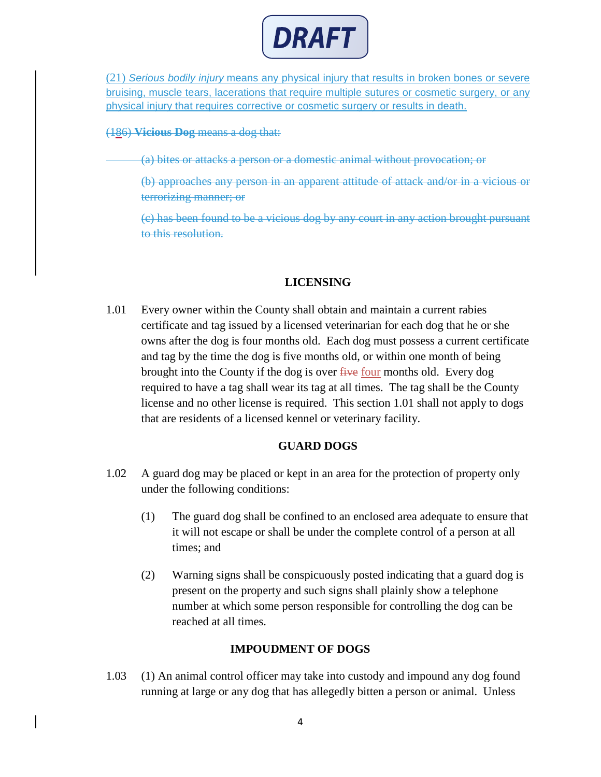

(21) *Serious bodily injury* means any physical injury that results in broken bones or severe bruising, muscle tears, lacerations that require multiple sutures or cosmetic surgery, or any physical injury that requires corrective or cosmetic surgery or results in death.

(186) **Vicious Dog** means a dog that:

(a) bites or attacks a person or a domestic animal without provocation; or

(b) approaches any person in an apparent attitude of attack and/or in a vicious or terrorizing manner; or

(c) has been found to be a vicious dog by any court in any action brought pursuant to this resolution.

#### **LICENSING**

1.01 Every owner within the County shall obtain and maintain a current rabies certificate and tag issued by a licensed veterinarian for each dog that he or she owns after the dog is four months old. Each dog must possess a current certificate and tag by the time the dog is five months old, or within one month of being brought into the County if the dog is over  $f$  and  $f$  is our months old. Every dog required to have a tag shall wear its tag at all times. The tag shall be the County license and no other license is required. This section 1.01 shall not apply to dogs that are residents of a licensed kennel or veterinary facility.

#### **GUARD DOGS**

- 1.02 A guard dog may be placed or kept in an area for the protection of property only under the following conditions:
	- (1) The guard dog shall be confined to an enclosed area adequate to ensure that it will not escape or shall be under the complete control of a person at all times; and
	- (2) Warning signs shall be conspicuously posted indicating that a guard dog is present on the property and such signs shall plainly show a telephone number at which some person responsible for controlling the dog can be reached at all times.

### **IMPOUDMENT OF DOGS**

1.03 (1) An animal control officer may take into custody and impound any dog found running at large or any dog that has allegedly bitten a person or animal. Unless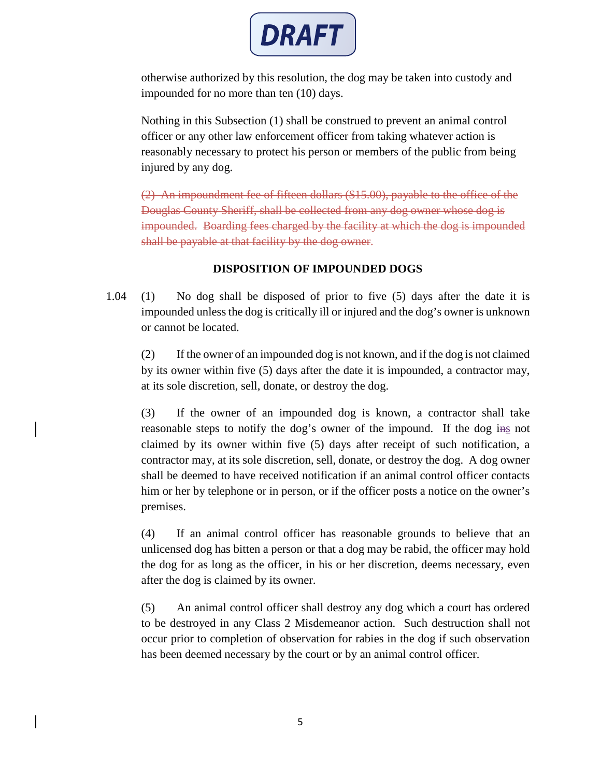

otherwise authorized by this resolution, the dog may be taken into custody and impounded for no more than ten (10) days.

Nothing in this Subsection (1) shall be construed to prevent an animal control officer or any other law enforcement officer from taking whatever action is reasonably necessary to protect his person or members of the public from being injured by any dog.

(2) An impoundment fee of fifteen dollars (\$15.00), payable to the office of the Douglas County Sheriff, shall be collected from any dog owner whose dog is impounded. Boarding fees charged by the facility at which the dog is impounded shall be payable at that facility by the dog owner.

## **DISPOSITION OF IMPOUNDED DOGS**

1.04 (1) No dog shall be disposed of prior to five (5) days after the date it is impounded unless the dog is critically ill or injured and the dog's owner is unknown or cannot be located.

(2) If the owner of an impounded dog is not known, and if the dog is not claimed by its owner within five (5) days after the date it is impounded, a contractor may, at its sole discretion, sell, donate, or destroy the dog.

(3) If the owner of an impounded dog is known, a contractor shall take reasonable steps to notify the dog's owner of the impound. If the dog ins not claimed by its owner within five (5) days after receipt of such notification, a contractor may, at its sole discretion, sell, donate, or destroy the dog. A dog owner shall be deemed to have received notification if an animal control officer contacts him or her by telephone or in person, or if the officer posts a notice on the owner's premises.

(4) If an animal control officer has reasonable grounds to believe that an unlicensed dog has bitten a person or that a dog may be rabid, the officer may hold the dog for as long as the officer, in his or her discretion, deems necessary, even after the dog is claimed by its owner.

(5) An animal control officer shall destroy any dog which a court has ordered to be destroyed in any Class 2 Misdemeanor action. Such destruction shall not occur prior to completion of observation for rabies in the dog if such observation has been deemed necessary by the court or by an animal control officer.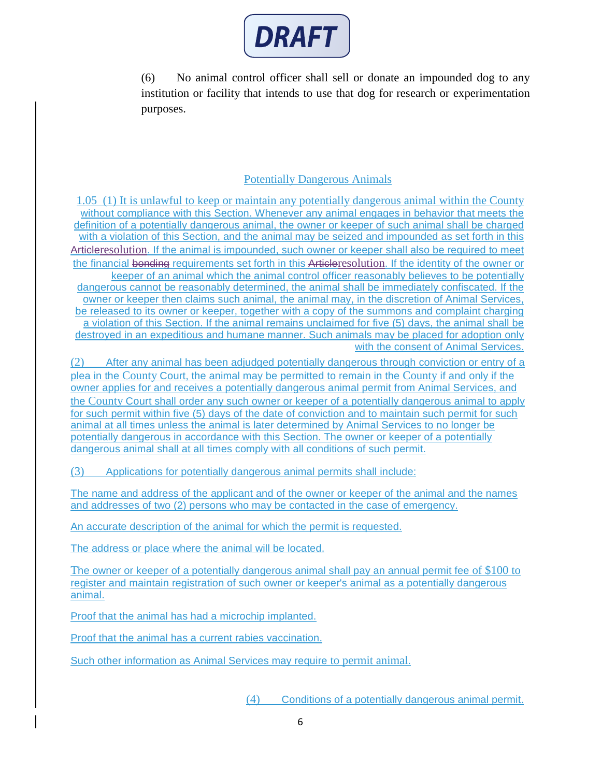

(6) No animal control officer shall sell or donate an impounded dog to any institution or facility that intends to use that dog for research or experimentation purposes.

### Potentially Dangerous Animals

1.05 (1) It is unlawful to keep or maintain any potentially dangerous animal within the County without compliance with this Section. Whenever any animal engages in behavior that meets the definition of a potentially dangerous animal, the owner or keeper of such animal shall be charged with a violation of this Section, and the animal may be seized and impounded as set forth in this Articleresolution. If the animal is impounded, such owner or keeper shall also be required to meet the financial bonding requirements set forth in this Articleresolution. If the identity of the owner or keeper of an animal which the animal control officer reasonably believes to be potentially dangerous cannot be reasonably determined, the animal shall be immediately confiscated. If the owner or keeper then claims such animal, the animal may, in the discretion of Animal Services, be released to its owner or keeper, together with a copy of the summons and complaint charging a violation of this Section. If the animal remains unclaimed for five (5) days, the animal shall be destroyed in an expeditious and humane manner. Such animals may be placed for adoption only with the consent of Animal Services.

(2) After any animal has been adjudged potentially dangerous through conviction or entry of a plea in the County Court, the animal may be permitted to remain in the County if and only if the owner applies for and receives a potentially dangerous animal permit from Animal Services, and the County Court shall order any such owner or keeper of a potentially dangerous animal to apply for such permit within five (5) days of the date of conviction and to maintain such permit for such animal at all times unless the animal is later determined by Animal Services to no longer be potentially dangerous in accordance with this Section. The owner or keeper of a potentially dangerous animal shall at all times comply with all conditions of such permit.

(3) Applications for potentially dangerous animal permits shall include:

The name and address of the applicant and of the owner or keeper of the animal and the names and addresses of two (2) persons who may be contacted in the case of emergency.

An accurate description of the animal for which the permit is requested.

The address or place where the animal will be located.

The owner or keeper of a potentially dangerous animal shall pay an annual permit fee of \$100 to register and maintain registration of such owner or keeper's animal as a potentially dangerous animal.

Proof that the animal has had a microchip implanted.

Proof that the animal has a current rabies vaccination.

Such other information as Animal Services may require to permit animal.

(4) Conditions of a potentially dangerous animal permit.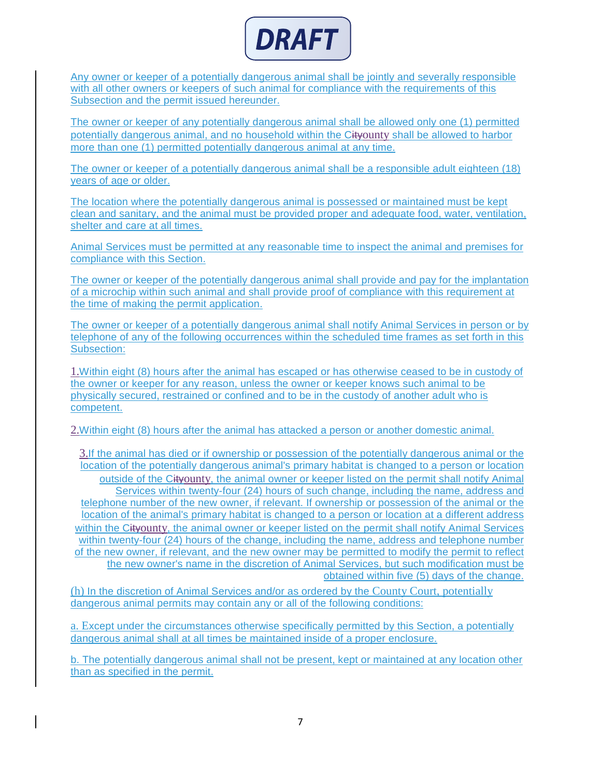

Any owner or keeper of a potentially dangerous animal shall be jointly and severally responsible with all other owners or keepers of such animal for compliance with the requirements of this Subsection and the permit issued hereunder.

The owner or keeper of any potentially dangerous animal shall be allowed only one (1) permitted potentially dangerous animal, and no household within the Cityounty shall be allowed to harbor more than one (1) permitted potentially dangerous animal at any time.

The owner or keeper of a potentially dangerous animal shall be a responsible adult eighteen (18) years of age or older.

The location where the potentially dangerous animal is possessed or maintained must be kept clean and sanitary, and the animal must be provided proper and adequate food, water, ventilation, shelter and care at all times.

Animal Services must be permitted at any reasonable time to inspect the animal and premises for compliance with this Section.

The owner or keeper of the potentially dangerous animal shall provide and pay for the implantation of a microchip within such animal and shall provide proof of compliance with this requirement at the time of making the permit application.

The owner or keeper of a potentially dangerous animal shall notify Animal Services in person or by telephone of any of the following occurrences within the scheduled time frames as set forth in this Subsection:

1.Within eight (8) hours after the animal has escaped or has otherwise ceased to be in custody of the owner or keeper for any reason, unless the owner or keeper knows such animal to be physically secured, restrained or confined and to be in the custody of another adult who is competent.

2.Within eight (8) hours after the animal has attacked a person or another domestic animal.

3.If the animal has died or if ownership or possession of the potentially dangerous animal or the location of the potentially dangerous animal's primary habitat is changed to a person or location outside of the Cityounty, the animal owner or keeper listed on the permit shall notify Animal Services within twenty-four (24) hours of such change, including the name, address and telephone number of the new owner, if relevant. If ownership or possession of the animal or the location of the animal's primary habitat is changed to a person or location at a different address within the Cityounty, the animal owner or keeper listed on the permit shall notify Animal Services within twenty-four (24) hours of the change, including the name, address and telephone number of the new owner, if relevant, and the new owner may be permitted to modify the permit to reflect the new owner's name in the discretion of Animal Services, but such modification must be obtained within five (5) days of the change.

(h) In the discretion of Animal Services and/or as ordered by the County Court, potentially dangerous animal permits may contain any or all of the following conditions:

a. Except under the circumstances otherwise specifically permitted by this Section, a potentially dangerous animal shall at all times be maintained inside of a proper enclosure.

b. The potentially dangerous animal shall not be present, kept or maintained at any location other than as specified in the permit.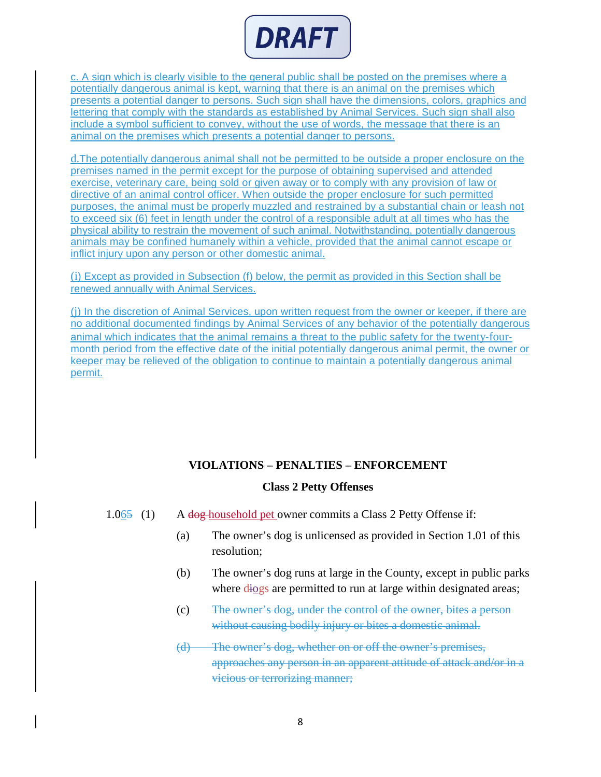

c. A sign which is clearly visible to the general public shall be posted on the premises where a potentially dangerous animal is kept, warning that there is an animal on the premises which presents a potential danger to persons. Such sign shall have the dimensions, colors, graphics and lettering that comply with the standards as established by Animal Services. Such sign shall also include a symbol sufficient to convey, without the use of words, the message that there is an animal on the premises which presents a potential danger to persons.

d.The potentially dangerous animal shall not be permitted to be outside a proper enclosure on the premises named in the permit except for the purpose of obtaining supervised and attended exercise, veterinary care, being sold or given away or to comply with any provision of law or directive of an animal control officer. When outside the proper enclosure for such permitted purposes, the animal must be properly muzzled and restrained by a substantial chain or leash not to exceed six (6) feet in length under the control of a responsible adult at all times who has the physical ability to restrain the movement of such animal. Notwithstanding, potentially dangerous animals may be confined humanely within a vehicle, provided that the animal cannot escape or inflict injury upon any person or other domestic animal.

(i) Except as provided in Subsection (f) below, the permit as provided in this Section shall be renewed annually with Animal Services.

(j) In the discretion of Animal Services, upon written request from the owner or keeper, if there are no additional documented findings by Animal Services of any behavior of the potentially dangerous animal which indicates that the animal remains a threat to the public safety for the twenty-fourmonth period from the effective date of the initial potentially dangerous animal permit, the owner or keeper may be relieved of the obligation to continue to maintain a potentially dangerous animal permit.

### **VIOLATIONS – PENALTIES – ENFORCEMENT**

#### **Class 2 Petty Offenses**

- 1.065 (1) A dog household pet owner commits a Class 2 Petty Offense if:
	- (a) The owner's dog is unlicensed as provided in Section 1.01 of this resolution;
	- (b) The owner's dog runs at large in the County, except in public parks where diogs are permitted to run at large within designated areas;
	- (c) The owner's dog, under the control of the owner, bites a person without causing bodily injury or bites a domestic animal.
	- (d) The owner's dog, whether on or off the owner's premises, approaches any person in an apparent attitude of attack and/or in a vicious or terrorizing manner;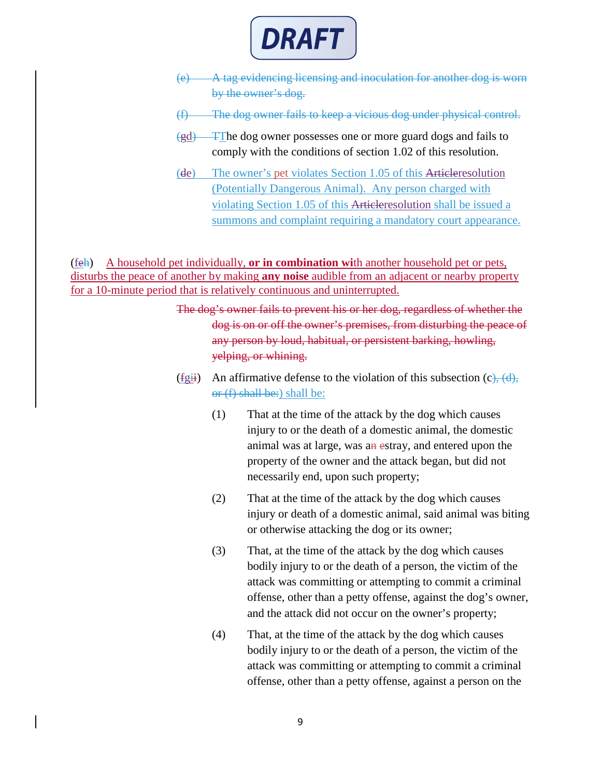

- (e) A tag evidencing licensing and inoculation for another dog is worn by the owner's dog.
- (f) The dog owner fails to keep a vicious dog under physical control.
- (gd) TThe dog owner possesses one or more guard dogs and fails to comply with the conditions of section 1.02 of this resolution.
- (de) The owner's pet violates Section 1.05 of this Articleresolution (Potentially Dangerous Animal). Any person charged with violating [Section 1.05](https://library.municode.com/co/centennial/codes/municipal_code?nodeId=CEMUCO_CH7HESAAN_ART7ANCO_DIV4ANCOVI_S7-7-420DAAN) of this Articleresolution shall be issued a summons and complaint requiring a mandatory court appearance.

(feh) A household pet individually, **or in combination wi**th another household pet or pets, disturbs the peace of another by making **any noise** audible from an adjacent or nearby property for a 10-minute period that is relatively continuous and uninterrupted.

> The dog's owner fails to prevent his or her dog, regardless of whether the dog is on or off the owner's premises, from disturbing the peace of any person by loud, habitual, or persistent barking, howling, yelping, or whining.

- (fgii) An affirmative defense to the violation of this subsection  $(c)$ ,  $(d)$ , or (f) shall be:) shall be:
	- (1) That at the time of the attack by the dog which causes injury to or the death of a domestic animal, the domestic animal was at large, was an estray, and entered upon the property of the owner and the attack began, but did not necessarily end, upon such property;
	- (2) That at the time of the attack by the dog which causes injury or death of a domestic animal, said animal was biting or otherwise attacking the dog or its owner;
	- (3) That, at the time of the attack by the dog which causes bodily injury to or the death of a person, the victim of the attack was committing or attempting to commit a criminal offense, other than a petty offense, against the dog's owner, and the attack did not occur on the owner's property;
	- (4) That, at the time of the attack by the dog which causes bodily injury to or the death of a person, the victim of the attack was committing or attempting to commit a criminal offense, other than a petty offense, against a person on the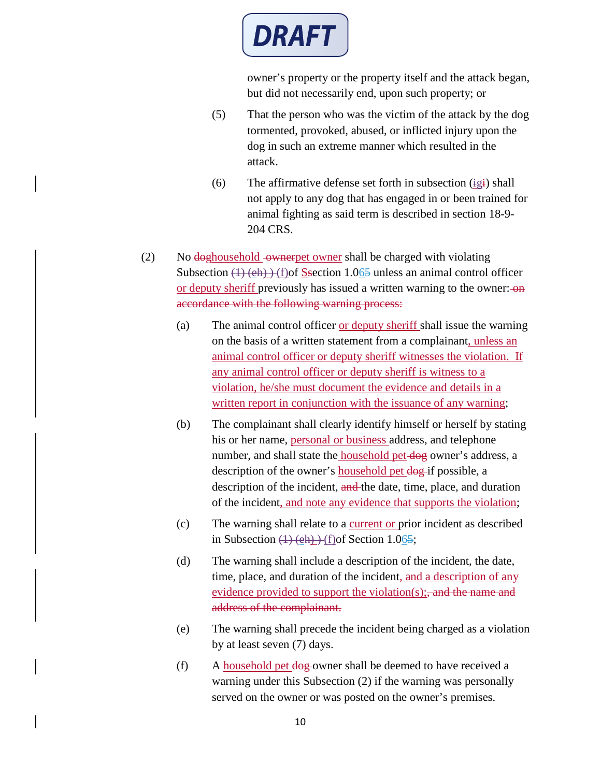

owner's property or the property itself and the attack began, but did not necessarily end, upon such property; or

- (5) That the person who was the victim of the attack by the dog tormented, provoked, abused, or inflicted injury upon the dog in such an extreme manner which resulted in the attack.
- (6) The affirmative defense set forth in subsection  $(ig_i)$  shall not apply to any dog that has engaged in or been trained for animal fighting as said term is described in section 18-9- 204 CRS.
- (2) No  $\frac{d}{d}$  No doghousehold -owner shall be charged with violating Subsection  $(1)$  (eh)  $)$  (f)of Ssection 1.065 unless an animal control officer or deputy sheriff previously has issued a written warning to the owner: $\theta$ accordance with the following warning process:
	- (a) The animal control officer or deputy sheriff shall issue the warning on the basis of a written statement from a complainant, unless an animal control officer or deputy sheriff witnesses the violation. If any animal control officer or deputy sheriff is witness to a violation, he/she must document the evidence and details in a written report in conjunction with the issuance of any warning;
	- (b) The complainant shall clearly identify himself or herself by stating his or her name, personal or business address, and telephone number, and shall state the household pet-dog owner's address, a description of the owner's household pet dog-if possible, a description of the incident, and the date, time, place, and duration of the incident, and note any evidence that supports the violation;
	- (c) The warning shall relate to a current or prior incident as described in Subsection  $(1)$  (eh)  $($ f) of Section 1.065;
	- (d) The warning shall include a description of the incident, the date, time, place, and duration of the incident, and a description of any evidence provided to support the violation(s); and the name and address of the complainant.
	- (e) The warning shall precede the incident being charged as a violation by at least seven (7) days.
	- (f) A household pet dog owner shall be deemed to have received a warning under this Subsection (2) if the warning was personally served on the owner or was posted on the owner's premises.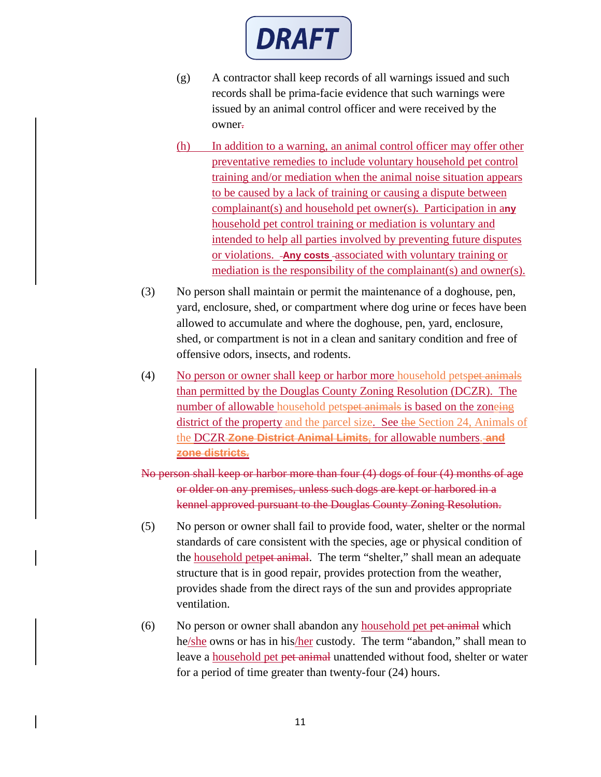

- (g) A contractor shall keep records of all warnings issued and such records shall be prima-facie evidence that such warnings were issued by an animal control officer and were received by the owner.
- (h) In addition to a warning, an animal control officer may offer other preventative remedies to include voluntary household pet control training and/or mediation when the animal noise situation appears to be caused by a lack of training or causing a dispute between complainant(s) and household pet owner(s)**.** Participation in a**ny**  household pet control training or mediation is voluntary and intended to help all parties involved by preventing future disputes or violations. **Any costs** associated with voluntary training or mediation is the responsibility of the complainant(s) and owner(s).
- (3) No person shall maintain or permit the maintenance of a doghouse, pen, yard, enclosure, shed, or compartment where dog urine or feces have been allowed to accumulate and where the doghouse, pen, yard, enclosure, shed, or compartment is not in a clean and sanitary condition and free of offensive odors, insects, and rodents.
- (4) No person or owner shall keep or harbor more household petspet animals than permitted by the Douglas County Zoning Resolution (DCZR). The number of allowable household petspet animals is based on the zoneing district of the property and the parcel size. See the Section 24, Animals of the DCZR **Zone District Animal Limits**, for allowable numbers. **and zone districts.**
- No person shall keep or harbor more than four (4) dogs of four (4) months of age or older on any premises, unless such dogs are kept or harbored in a kennel approved pursuant to the Douglas County Zoning Resolution.
- (5) No person or owner shall fail to provide food, water, shelter or the normal standards of care consistent with the species, age or physical condition of the household petpet animal. The term "shelter," shall mean an adequate structure that is in good repair, provides protection from the weather, provides shade from the direct rays of the sun and provides appropriate ventilation.
- (6) No person or owner shall abandon any household pet pet animal which he/she owns or has in his/her custody. The term "abandon," shall mean to leave a household pet pet animal unattended without food, shelter or water for a period of time greater than twenty-four (24) hours.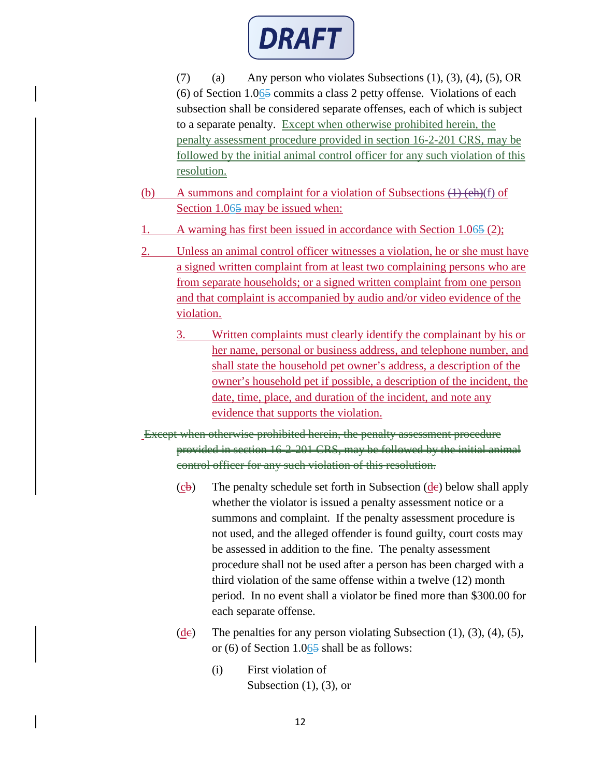

(7) (a) Any person who violates Subsections  $(1)$ ,  $(3)$ ,  $(4)$ ,  $(5)$ , OR (6) of Section 1.065 commits a class 2 petty offense. Violations of each subsection shall be considered separate offenses, each of which is subject to a separate penalty. Except when otherwise prohibited herein, the penalty assessment procedure provided in section 16-2-201 CRS, may be followed by the initial animal control officer for any such violation of this resolution.

- (b) A summons and complaint for a violation of Subsections  $(1)$  (eh)(f) of Section 1.065 may be issued when:
- 1. A warning has first been issued in accordance with Section 1.065 (2);
- 2. Unless an animal control officer witnesses a violation, he or she must have a signed written complaint from at least two complaining persons who are from separate households; or a signed written complaint from one person and that complaint is accompanied by audio and/or video evidence of the violation.
	- 3. Written complaints must clearly identify the complainant by his or her name, personal or business address, and telephone number, and shall state the household pet owner's address, a description of the owner's household pet if possible, a description of the incident, the date, time, place, and duration of the incident, and note any evidence that supports the violation.
- Except when otherwise prohibited herein, the penalty assessment procedure provided in section 16-2-201 CRS, may be followed by the initial animal control officer for any such violation of this resolution.
	- $(c\mathbf{b})$  The penalty schedule set forth in Subsection  $(d\mathbf{e})$  below shall apply whether the violator is issued a penalty assessment notice or a summons and complaint. If the penalty assessment procedure is not used, and the alleged offender is found guilty, court costs may be assessed in addition to the fine. The penalty assessment procedure shall not be used after a person has been charged with a third violation of the same offense within a twelve (12) month period. In no event shall a violator be fined more than \$300.00 for each separate offense.
	- (de) The penalties for any person violating Subsection  $(1)$ ,  $(3)$ ,  $(4)$ ,  $(5)$ , or (6) of Section 1.065 shall be as follows:
		- (i) First violation of Subsection  $(1)$ ,  $(3)$ , or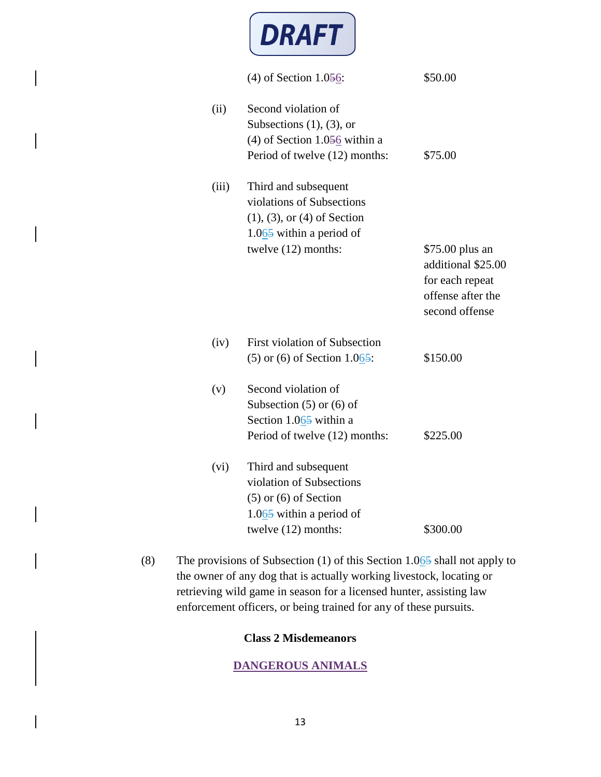

|       | (4) of Section $1.056$ :                                                                                                                    | \$50.00                                                                                         |
|-------|---------------------------------------------------------------------------------------------------------------------------------------------|-------------------------------------------------------------------------------------------------|
| (ii)  | Second violation of<br>Subsections $(1)$ , $(3)$ , or<br>(4) of Section $1.056$ within a<br>Period of twelve (12) months:                   | \$75.00                                                                                         |
| (iii) | Third and subsequent<br>violations of Subsections<br>$(1), (3),$ or $(4)$ of Section<br>$1.065$ within a period of<br>twelve $(12)$ months: | \$75.00 plus an<br>additional \$25.00<br>for each repeat<br>offense after the<br>second offense |
| (iv)  | <b>First violation of Subsection</b><br>$(5)$ or $(6)$ of Section 1.065:                                                                    | \$150.00                                                                                        |
| (v)   | Second violation of<br>Subsection $(5)$ or $(6)$ of<br>Section 1.065 within a<br>Period of twelve (12) months:                              | \$225.00                                                                                        |
| (vi)  | Third and subsequent<br>violation of Subsections<br>$(5)$ or $(6)$ of Section<br>$1.065$ within a period of<br>twelve $(12)$ months:        | \$300.00                                                                                        |

(8) The provisions of Subsection (1) of this Section  $1.065$  shall not apply to the owner of any dog that is actually working livestock, locating or retrieving wild game in season for a licensed hunter, assisting law enforcement officers, or being trained for any of these pursuits.

## **Class 2 Misdemeanors**

# **DANGEROUS ANIMALS**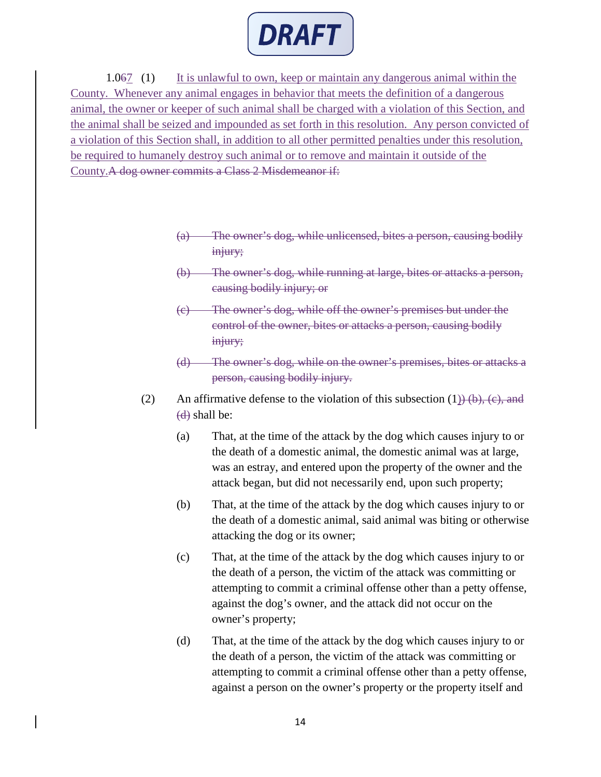

1.067 (1) It is unlawful to own, keep or maintain any dangerous animal within the County. Whenever any animal engages in behavior that meets the definition of a dangerous animal, the owner or keeper of such animal shall be charged with a violation of this Section, and the animal shall be seized and impounded as set forth in this resolution. Any person convicted of a violation of this Section shall, in addition to all other permitted penalties under this resolution, be required to humanely destroy such animal or to remove and maintain it outside of the County.A dog owner commits a Class 2 Misdemeanor if:

- The owner's dog, while unlicensed, bites a person, causing bodily injury;
- (b) The owner's dog, while running at large, bites or attacks a person, causing bodily injury; or
- (c) The owner's dog, while off the owner's premises but under the control of the owner, bites or attacks a person, causing bodily injury;
- (d) The owner's dog, while on the owner's premises, bites or attacks a person, causing bodily injury.
- (2) An affirmative defense to the violation of this subsection  $(1)$ ) (b), (c), and  $(d)$  shall be:
	- (a) That, at the time of the attack by the dog which causes injury to or the death of a domestic animal, the domestic animal was at large, was an estray, and entered upon the property of the owner and the attack began, but did not necessarily end, upon such property;
	- (b) That, at the time of the attack by the dog which causes injury to or the death of a domestic animal, said animal was biting or otherwise attacking the dog or its owner;
	- (c) That, at the time of the attack by the dog which causes injury to or the death of a person, the victim of the attack was committing or attempting to commit a criminal offense other than a petty offense, against the dog's owner, and the attack did not occur on the owner's property;
	- (d) That, at the time of the attack by the dog which causes injury to or the death of a person, the victim of the attack was committing or attempting to commit a criminal offense other than a petty offense, against a person on the owner's property or the property itself and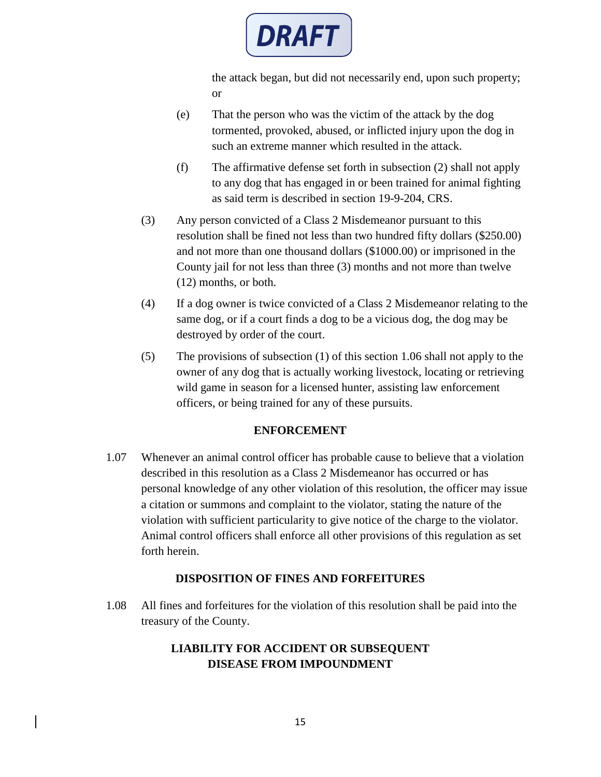

the attack began, but did not necessarily end, upon such property; or

- (e) That the person who was the victim of the attack by the dog tormented, provoked, abused, or inflicted injury upon the dog in such an extreme manner which resulted in the attack.
- (f) The affirmative defense set forth in subsection (2) shall not apply to any dog that has engaged in or been trained for animal fighting as said term is described in section 19-9-204, CRS.
- (3) Any person convicted of a Class 2 Misdemeanor pursuant to this resolution shall be fined not less than two hundred fifty dollars (\$250.00) and not more than one thousand dollars (\$1000.00) or imprisoned in the County jail for not less than three (3) months and not more than twelve (12) months, or both.
- (4) If a dog owner is twice convicted of a Class 2 Misdemeanor relating to the same dog, or if a court finds a dog to be a vicious dog, the dog may be destroyed by order of the court.
- (5) The provisions of subsection (1) of this section 1.06 shall not apply to the owner of any dog that is actually working livestock, locating or retrieving wild game in season for a licensed hunter, assisting law enforcement officers, or being trained for any of these pursuits.

#### **ENFORCEMENT**

1.07 Whenever an animal control officer has probable cause to believe that a violation described in this resolution as a Class 2 Misdemeanor has occurred or has personal knowledge of any other violation of this resolution, the officer may issue a citation or summons and complaint to the violator, stating the nature of the violation with sufficient particularity to give notice of the charge to the violator. Animal control officers shall enforce all other provisions of this regulation as set forth herein.

### **DISPOSITION OF FINES AND FORFEITURES**

1.08 All fines and forfeitures for the violation of this resolution shall be paid into the treasury of the County.

## **LIABILITY FOR ACCIDENT OR SUBSEQUENT DISEASE FROM IMPOUNDMENT**